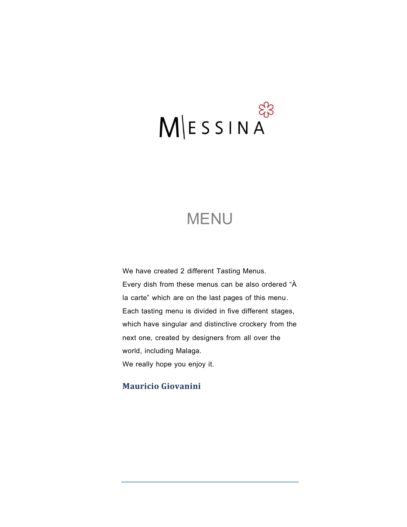# $M \leq S \leq N A$

# **MENU**

We have created 2 different Tasting Menus. Every dish from these menus can be also ordered "À la carte" which are on the last pages of this menu. Each tasting menu is divided in five different stages, which have singular and distinctive crockery from the next one, created by designers from all over the world, including Malaga. We really hope you enjoy it.

# **Mauricio Giovanini**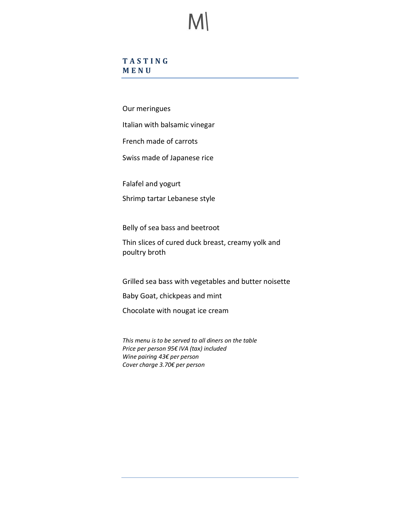### **T A S T I N G M E N U**

Our meringues

Italian with balsamic vinegar

French made of carrots

Swiss made of Japanese rice

Falafel and yogurt

Shrimp tartar Lebanese style

Belly of sea bass and beetroot

Thin slices of cured duck breast, creamy yolk and poultry broth

Grilled sea bass with vegetables and butter noisette

Baby Goat, chickpeas and mint

Chocolate with nougat ice cream

*This menu is to be served to all diners on the table Price per person 95€ IVA (tax) included Wine pairing 43€ per person Cover charge 3.70€ per person*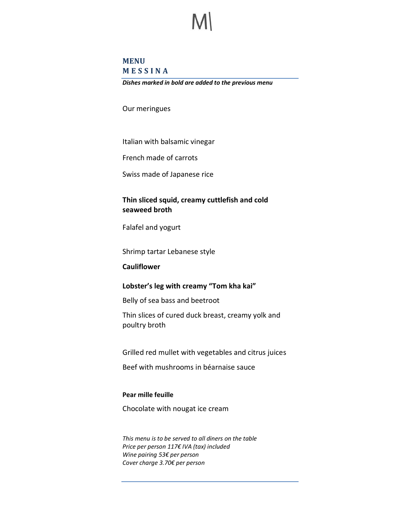### **MENU M E S S I N A**

*Dishes marked in bold are added to the previous menu*

Our meringues

Italian with balsamic vinegar

French made of carrots

Swiss made of Japanese rice

### **Thin sliced squid, creamy cuttlefish and cold seaweed broth**

Falafel and yogurt

Shrimp tartar Lebanese style

**Cauliflower**

### **Lobster's leg with creamy "Tom kha kai"**

Belly of sea bass and beetroot

Thin slices of cured duck breast, creamy yolk and poultry broth

Grilled red mullet with vegetables and citrus juices

Beef with mushrooms in béarnaise sauce

### **Pear mille feuille**

Chocolate with nougat ice cream

*This menu is to be served to all diners on the table Price per person 117€ IVA (tax) included Wine pairing 53€ per person Cover charge 3.70€ per person*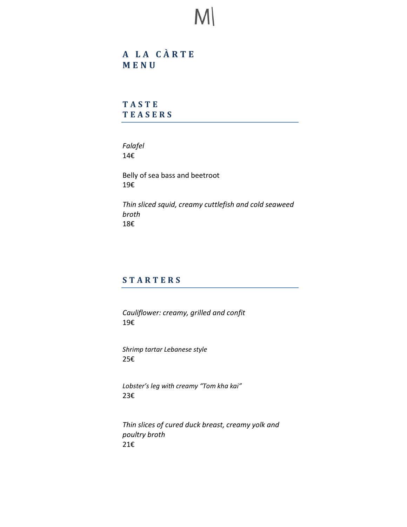**A L A C À R T E M E N U**

**T A S T E T E A S E R S**

*Falafel*  14€

Belly of sea bass and beetroot 19€

*Thin sliced squid, creamy cuttlefish and cold seaweed broth* 18€

# **S T A R T E R S**

*Cauliflower: creamy, grilled and confit* 19€

*Shrimp tartar Lebanese style* 25€

*Lobster's leg with creamy "Tom kha kai"*  23€

*Thin slices of cured duck breast, creamy yolk and poultry broth* 21€